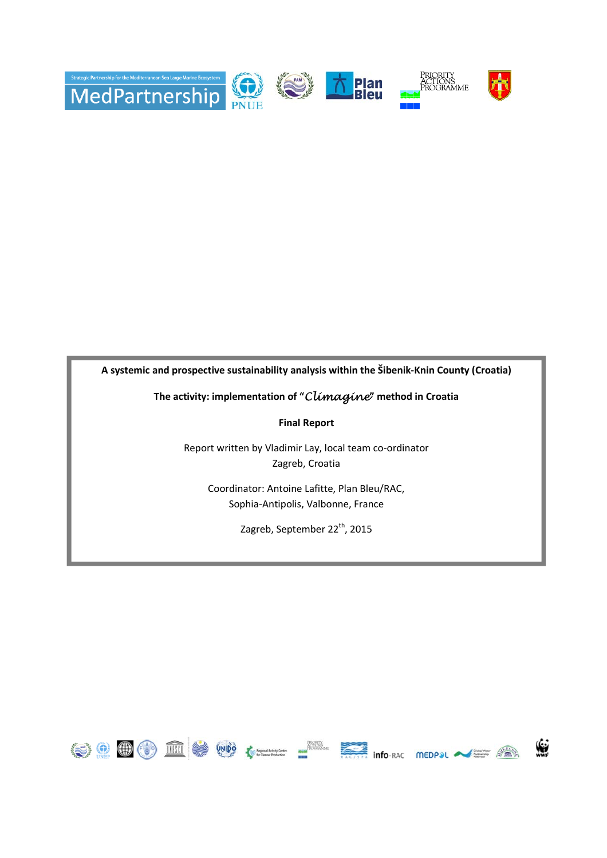

# **A systemic and prospective sustainability analysis within the Šibenik-Knin County (Croatia)**

**The activity: implementation of "**Climagine**" method in Croatia** 

**Final Report** 

Report written by Vladimir Lay, local team co-ordinator Zagreb, Croatia

Coordinator: Antoine Lafitte, Plan Bleu/RAC, Sophia-Antipolis, Valbonne, France

Zagreb, September 22<sup>th</sup>, 2015

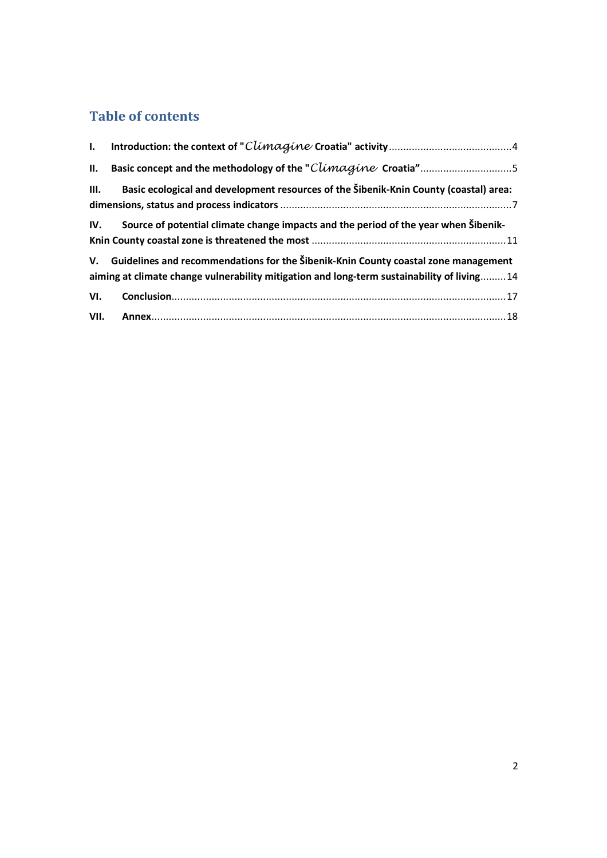# **Table of contents**

| II.  | Basic concept and the methodology of the "Climagine Croatia"5                              |
|------|--------------------------------------------------------------------------------------------|
|      | III. Basic ecological and development resources of the Šibenik-Knin County (coastal) area: |
|      | IV. Source of potential climate change impacts and the period of the year when Šibenik-    |
|      |                                                                                            |
|      | V. Guidelines and recommendations for the Šibenik-Knin County coastal zone management      |
|      | aiming at climate change vulnerability mitigation and long-term sustainability of living14 |
| VI.  |                                                                                            |
| VII. |                                                                                            |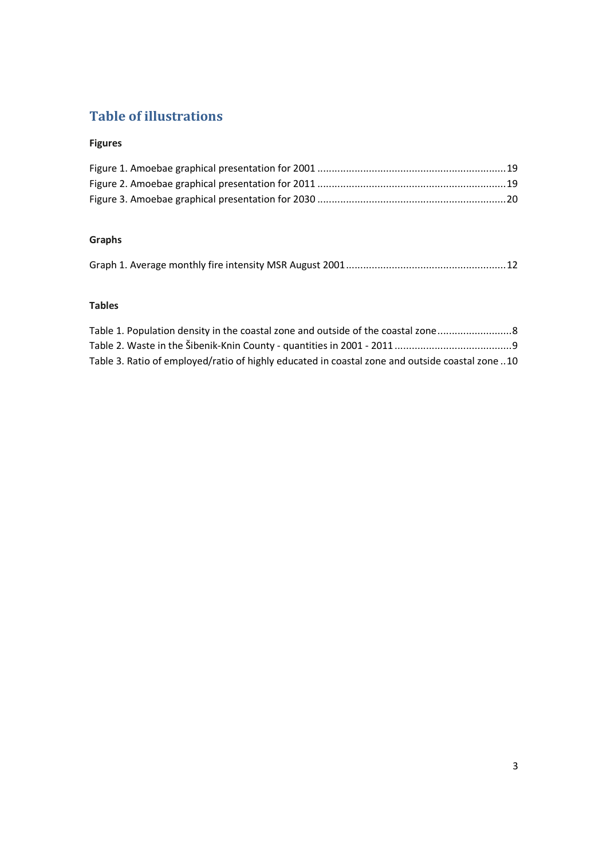# **Table of illustrations**

# **Figures**

# **Graphs**

# **Tables**

| Table 1. Population density in the coastal zone and outside of the coastal zone                 |  |
|-------------------------------------------------------------------------------------------------|--|
|                                                                                                 |  |
| Table 3. Ratio of employed/ratio of highly educated in coastal zone and outside coastal zone 10 |  |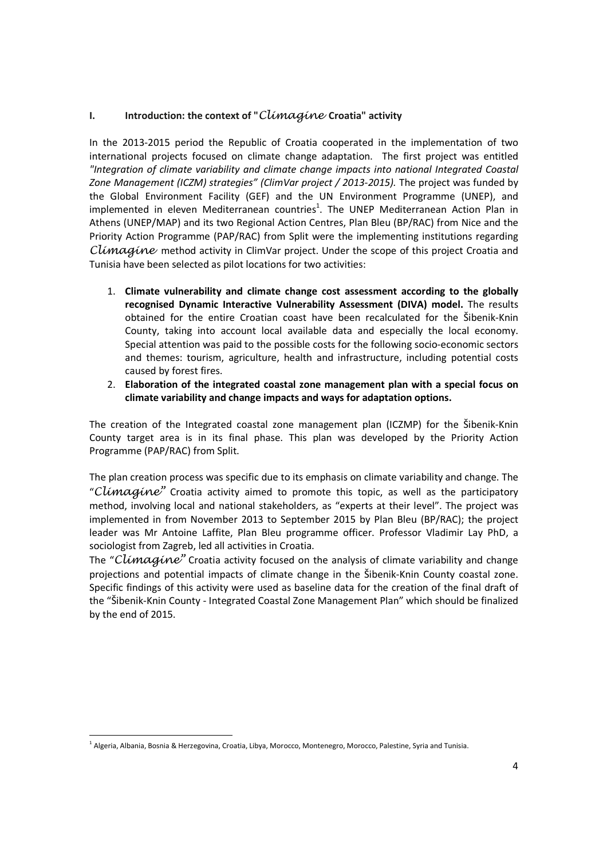# **I. Introduction: the context of "**Climagine **Croatia" activity**

In the 2013-2015 period the Republic of Croatia cooperated in the implementation of two international projects focused on climate change adaptation. The first project was entitled *"Integration of climate variability and climate change impacts into national Integrated Coastal Zone Management (ICZM) strategies" (ClimVar project / 2013-2015).* The project was funded by the Global Environment Facility (GEF) and the UN Environment Programme (UNEP), and implemented in eleven Mediterranean countries<sup>1</sup>. The UNEP Mediterranean Action Plan in Athens (UNEP/MAP) and its two Regional Action Centres, Plan Bleu (BP/RAC) from Nice and the Priority Action Programme (PAP/RAC) from Split were the implementing institutions regarding Climagine method activity in ClimVar project. Under the scope of this project Croatia and Tunisia have been selected as pilot locations for two activities:

- 1. **Climate vulnerability and climate change cost assessment according to the globally recognised Dynamic Interactive Vulnerability Assessment (DIVA) model.** The results obtained for the entire Croatian coast have been recalculated for the Šibenik-Knin County, taking into account local available data and especially the local economy. Special attention was paid to the possible costs for the following socio-economic sectors and themes: tourism, agriculture, health and infrastructure, including potential costs caused by forest fires.
- 2. **Elaboration of the integrated coastal zone management plan with a special focus on climate variability and change impacts and ways for adaptation options.**

The creation of the Integrated coastal zone management plan (ICZMP) for the Šibenik-Knin County target area is in its final phase. This plan was developed by the Priority Action Programme (PAP/RAC) from Split.

The plan creation process was specific due to its emphasis on climate variability and change. The "Climagine" Croatia activity aimed to promote this topic, as well as the participatory method, involving local and national stakeholders, as "experts at their level". The project was implemented in from November 2013 to September 2015 by Plan Bleu (BP/RAC); the project leader was Mr Antoine Laffite, Plan Bleu programme officer. Professor Vladimir Lay PhD, a sociologist from Zagreb, led all activities in Croatia.

The "Climagine" Croatia activity focused on the analysis of climate variability and change projections and potential impacts of climate change in the Šibenik-Knin County coastal zone. Specific findings of this activity were used as baseline data for the creation of the final draft of the "Šibenik-Knin County - Integrated Coastal Zone Management Plan" which should be finalized by the end of 2015.

<sup>&</sup>lt;sup>1</sup> Algeria, Albania, Bosnia & Herzegovina, Croatia, Libya, Morocco, Montenegro, Morocco, Palestine, Syria and Tunisia.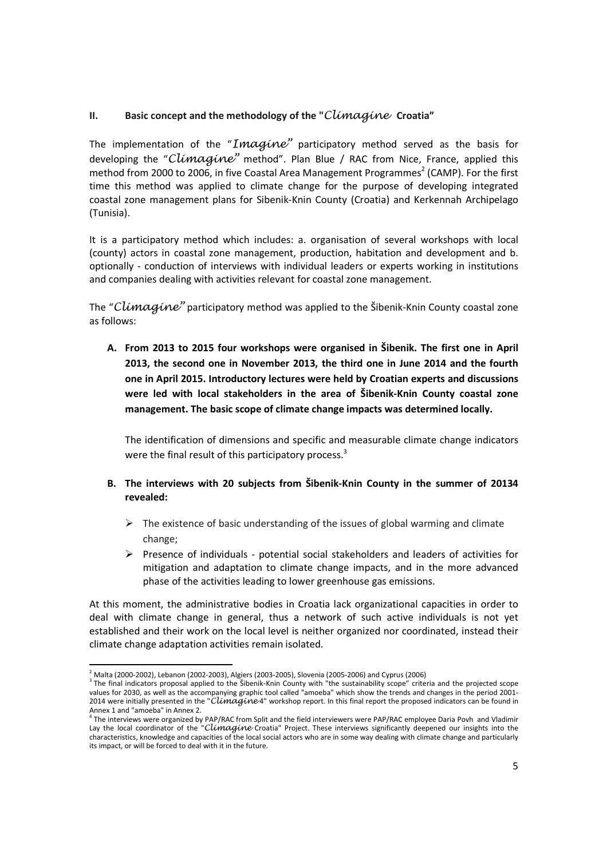# **II. Basic concept and the methodology of the "**Climagine **Croatia"**

The implementation of the "Imagine" participatory method served as the basis for developing the "Climagine" method". Plan Blue / RAC from Nice, France, applied this method from 2000 to 2006, in five Coastal Area Management Programmes<sup>2</sup> (CAMP). For the first time this method was applied to climate change for the purpose of developing integrated coastal zone management plans for Sibenik-Knin County (Croatia) and Kerkennah Archipelago (Tunisia).

It is a participatory method which includes: a. organisation of several workshops with local (county) actors in coastal zone management, production, habitation and development and b. optionally - conduction of interviews with individual leaders or experts working in institutions and companies dealing with activities relevant for coastal zone management.

The "Climagine" participatory method was applied to the Šibenik-Knin County coastal zone as follows:

**A. From 2013 to 2015 four workshops were organised in Šibenik. The first one in April 2013, the second one in November 2013, the third one in June 2014 and the fourth one in April 2015. Introductory lectures were held by Croatian experts and discussions were led with local stakeholders in the area of Šibenik-Knin County coastal zone management. The basic scope of climate change impacts was determined locally.** 

The identification of dimensions and specific and measurable climate change indicators were the final result of this participatory process.<sup>3</sup>

- **B. The interviews with 20 subjects from Šibenik-Knin County in the summer of 20134 revealed:** 
	- $\triangleright$  The existence of basic understanding of the issues of global warming and climate change;
	- $\triangleright$  Presence of individuals potential social stakeholders and leaders of activities for mitigation and adaptation to climate change impacts, and in the more advanced phase of the activities leading to lower greenhouse gas emissions.

At this moment, the administrative bodies in Croatia lack organizational capacities in order to deal with climate change in general, thus a network of such active individuals is not yet established and their work on the local level is neither organized nor coordinated, instead their climate change adaptation activities remain isolated.

<sup>2</sup> Malta (2000-2002), Lebanon (2002-2003), Algiers (2003-2005), Slovenia (2005-2006) and Cyprus (2006)

<sup>&</sup>lt;sup>3</sup> The final indicators proposal applied to the Sibenik-Knin County with "the sustainability scope" criteria and the projected scope values for 2030, as well as the accompanying graphic tool called "amoeba" which show the trends and changes in the period 2001- 2014 were initially presented in the "Climagine 4" workshop report. In this final report the proposed indicators can be found in Annex 1 and "amoeba" in Annex 2. 4 The interviews were organized by PAP/RAC from Split and the field interviewers were PAP/RAC employee Daria Povh and Vladimir

Lay the local coordinator of the "Climagine Croatia" Project. These interviews significantly deepened our insights into the characteristics, knowledge and capacities of the local social actors who are in some way dealing with climate change and particularly its impact, or will be forced to deal with it in the future.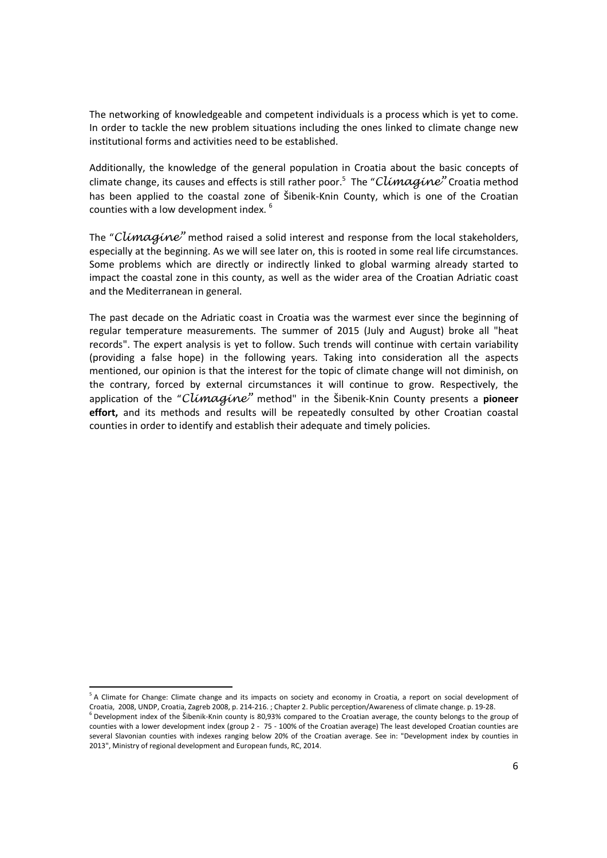The networking of knowledgeable and competent individuals is a process which is yet to come. In order to tackle the new problem situations including the ones linked to climate change new institutional forms and activities need to be established.

Additionally, the knowledge of the general population in Croatia about the basic concepts of climate change, its causes and effects is still rather poor.<sup>5</sup> The "Climagine" Croatia method has been applied to the coastal zone of Šibenik-Knin County, which is one of the Croatian counties with a low development index. <sup>6</sup>

The "Climagine" method raised a solid interest and response from the local stakeholders, especially at the beginning. As we will see later on, this is rooted in some real life circumstances. Some problems which are directly or indirectly linked to global warming already started to impact the coastal zone in this county, as well as the wider area of the Croatian Adriatic coast and the Mediterranean in general.

The past decade on the Adriatic coast in Croatia was the warmest ever since the beginning of regular temperature measurements. The summer of 2015 (July and August) broke all "heat records". The expert analysis is yet to follow. Such trends will continue with certain variability (providing a false hope) in the following years. Taking into consideration all the aspects mentioned, our opinion is that the interest for the topic of climate change will not diminish, on the contrary, forced by external circumstances it will continue to grow. Respectively, the application of the "Climagine" method" in the Sibenik-Knin County presents a pioneer **effort,** and its methods and results will be repeatedly consulted by other Croatian coastal counties in order to identify and establish their adequate and timely policies.

<u>.</u>

<sup>&</sup>lt;sup>5</sup> A Climate for Change: Climate change and its impacts on society and economy in Croatia, a report on social development of Croatia, 2008, UNDP, Croatia, Zagreb 2008, p. 214-216. ; Chapter 2. Public perception/Awareness of climate change. p. 19-28. <sup>6</sup> Development index of the Šibenik-Knin county is 80,93% compared to the Croatian average, the county belongs to the group of counties with a lower development index (group 2 - 75 - 100% of the Croatian average) The least developed Croatian counties are several Slavonian counties with indexes ranging below 20% of the Croatian average. See in: "Development index by counties in 2013", Ministry of regional development and European funds, RC, 2014.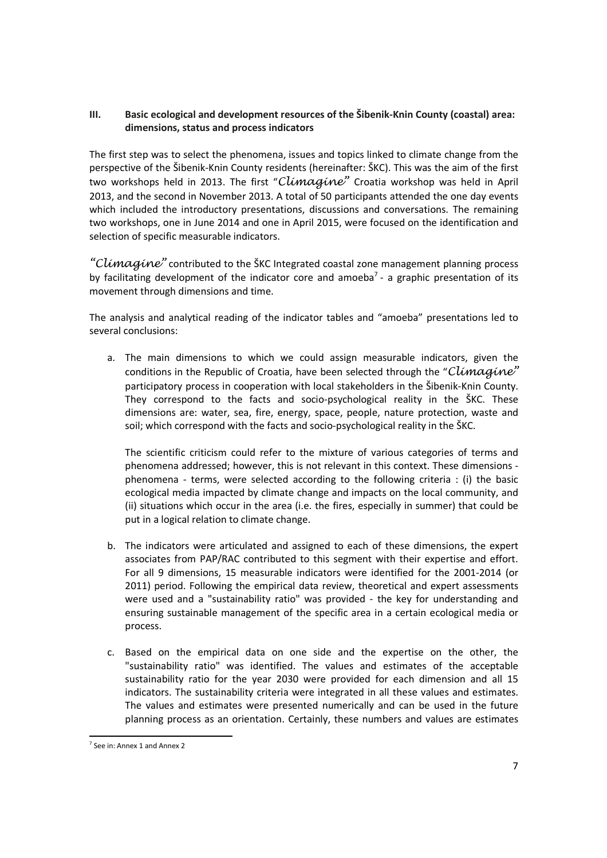# **III. Basic ecological and development resources of the Šibenik-Knin County (coastal) area: dimensions, status and process indicators**

The first step was to select the phenomena, issues and topics linked to climate change from the perspective of the Šibenik-Knin County residents (hereinafter: ŠKC). This was the aim of the first two workshops held in 2013. The first "Climagine" Croatia workshop was held in April 2013, and the second in November 2013. A total of 50 participants attended the one day events which included the introductory presentations, discussions and conversations. The remaining two workshops, one in June 2014 and one in April 2015, were focused on the identification and selection of specific measurable indicators.

"Climagine" contributed to the SKC Integrated coastal zone management planning process by facilitating development of the indicator core and amoeba<sup>7</sup> - a graphic presentation of its movement through dimensions and time.

The analysis and analytical reading of the indicator tables and "amoeba" presentations led to several conclusions:

a. The main dimensions to which we could assign measurable indicators, given the conditions in the Republic of Croatia, have been selected through the "Climagine" participatory process in cooperation with local stakeholders in the Šibenik-Knin County. They correspond to the facts and socio-psychological reality in the ŠKC. These dimensions are: water, sea, fire, energy, space, people, nature protection, waste and soil; which correspond with the facts and socio-psychological reality in the ŠKC.

The scientific criticism could refer to the mixture of various categories of terms and phenomena addressed; however, this is not relevant in this context. These dimensions phenomena - terms, were selected according to the following criteria : (i) the basic ecological media impacted by climate change and impacts on the local community, and (ii) situations which occur in the area (i.e. the fires, especially in summer) that could be put in a logical relation to climate change.

- b. The indicators were articulated and assigned to each of these dimensions, the expert associates from PAP/RAC contributed to this segment with their expertise and effort. For all 9 dimensions, 15 measurable indicators were identified for the 2001-2014 (or 2011) period. Following the empirical data review, theoretical and expert assessments were used and a "sustainability ratio" was provided - the key for understanding and ensuring sustainable management of the specific area in a certain ecological media or process.
- c. Based on the empirical data on one side and the expertise on the other, the "sustainability ratio" was identified. The values and estimates of the acceptable sustainability ratio for the year 2030 were provided for each dimension and all 15 indicators. The sustainability criteria were integrated in all these values and estimates. The values and estimates were presented numerically and can be used in the future planning process as an orientation. Certainly, these numbers and values are estimates

 $<sup>7</sup>$  See in: Annex 1 and Annex 2</sup>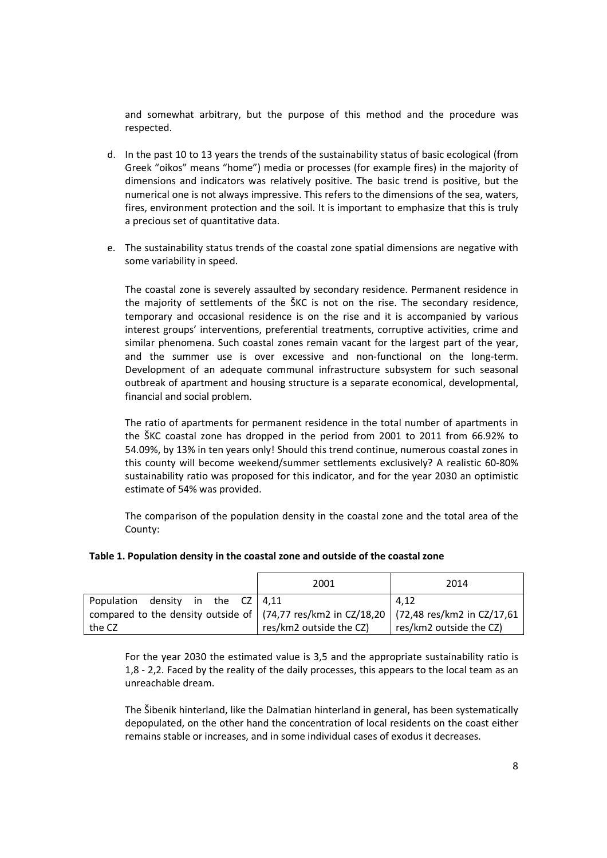and somewhat arbitrary, but the purpose of this method and the procedure was respected.

- d. In the past 10 to 13 years the trends of the sustainability status of basic ecological (from Greek "oikos" means "home") media or processes (for example fires) in the majority of dimensions and indicators was relatively positive. The basic trend is positive, but the numerical one is not always impressive. This refers to the dimensions of the sea, waters, fires, environment protection and the soil. It is important to emphasize that this is truly a precious set of quantitative data.
- e. The sustainability status trends of the coastal zone spatial dimensions are negative with some variability in speed.

The coastal zone is severely assaulted by secondary residence. Permanent residence in the majority of settlements of the ŠKC is not on the rise. The secondary residence, temporary and occasional residence is on the rise and it is accompanied by various interest groups' interventions, preferential treatments, corruptive activities, crime and similar phenomena. Such coastal zones remain vacant for the largest part of the year, and the summer use is over excessive and non-functional on the long-term. Development of an adequate communal infrastructure subsystem for such seasonal outbreak of apartment and housing structure is a separate economical, developmental, financial and social problem.

The ratio of apartments for permanent residence in the total number of apartments in the ŠKC coastal zone has dropped in the period from 2001 to 2011 from 66.92% to 54.09%, by 13% in ten years only! Should this trend continue, numerous coastal zones in this county will become weekend/summer settlements exclusively? A realistic 60-80% sustainability ratio was proposed for this indicator, and for the year 2030 an optimistic estimate of 54% was provided.

The comparison of the population density in the coastal zone and the total area of the County:

#### **Table 1. Population density in the coastal zone and outside of the coastal zone**

|                                                                                                          |  |  |  | 2001                    | 2014                    |
|----------------------------------------------------------------------------------------------------------|--|--|--|-------------------------|-------------------------|
| Population density in the $CZ \mid 4,11$                                                                 |  |  |  |                         | 4,12                    |
| compared to the density outside of $\vert$ (74,77 res/km2 in CZ/18,20 $\vert$ (72,48 res/km2 in CZ/17,61 |  |  |  |                         |                         |
| the CZ                                                                                                   |  |  |  | res/km2 outside the CZ) | res/km2 outside the CZ) |

For the year 2030 the estimated value is 3,5 and the appropriate sustainability ratio is 1,8 - 2,2. Faced by the reality of the daily processes, this appears to the local team as an unreachable dream.

The Šibenik hinterland, like the Dalmatian hinterland in general, has been systematically depopulated, on the other hand the concentration of local residents on the coast either remains stable or increases, and in some individual cases of exodus it decreases.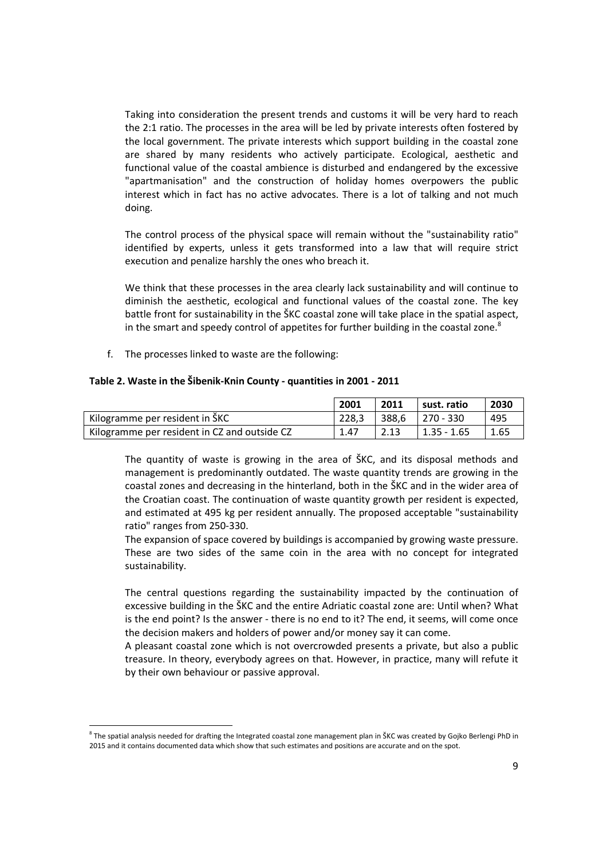Taking into consideration the present trends and customs it will be very hard to reach the 2:1 ratio. The processes in the area will be led by private interests often fostered by the local government. The private interests which support building in the coastal zone are shared by many residents who actively participate. Ecological, aesthetic and functional value of the coastal ambience is disturbed and endangered by the excessive "apartmanisation" and the construction of holiday homes overpowers the public interest which in fact has no active advocates. There is a lot of talking and not much doing.

The control process of the physical space will remain without the "sustainability ratio" identified by experts, unless it gets transformed into a law that will require strict execution and penalize harshly the ones who breach it.

We think that these processes in the area clearly lack sustainability and will continue to diminish the aesthetic, ecological and functional values of the coastal zone. The key battle front for sustainability in the ŠKC coastal zone will take place in the spatial aspect, in the smart and speedy control of appetites for further building in the coastal zone.<sup>8</sup>

f. The processes linked to waste are the following:

<u>.</u>

#### **Table 2. Waste in the Šibenik-Knin County - quantities in 2001 - 2011**

|                                              | 2001  | 2011  | sust. ratio         | 2030 |
|----------------------------------------------|-------|-------|---------------------|------|
| kilogramme per resident in ŠKC               | 228.3 | 388.6 | $\vert$ 270 - 330   | 495  |
| Kilogramme per resident in CZ and outside CZ | 1.47  | 2.13  | $\perp$ 1.35 - 1.65 | 1.65 |

The quantity of waste is growing in the area of ŠKC, and its disposal methods and management is predominantly outdated. The waste quantity trends are growing in the coastal zones and decreasing in the hinterland, both in the ŠKC and in the wider area of the Croatian coast. The continuation of waste quantity growth per resident is expected, and estimated at 495 kg per resident annually. The proposed acceptable "sustainability ratio" ranges from 250-330.

The expansion of space covered by buildings is accompanied by growing waste pressure. These are two sides of the same coin in the area with no concept for integrated sustainability.

The central questions regarding the sustainability impacted by the continuation of excessive building in the ŠKC and the entire Adriatic coastal zone are: Until when? What is the end point? Is the answer - there is no end to it? The end, it seems, will come once the decision makers and holders of power and/or money say it can come.

A pleasant coastal zone which is not overcrowded presents a private, but also a public treasure. In theory, everybody agrees on that. However, in practice, many will refute it by their own behaviour or passive approval.

<sup>&</sup>lt;sup>8</sup> The spatial analysis needed for drafting the Integrated coastal zone management plan in ŠKC was created by Gojko Berlengi PhD in 2015 and it contains documented data which show that such estimates and positions are accurate and on the spot.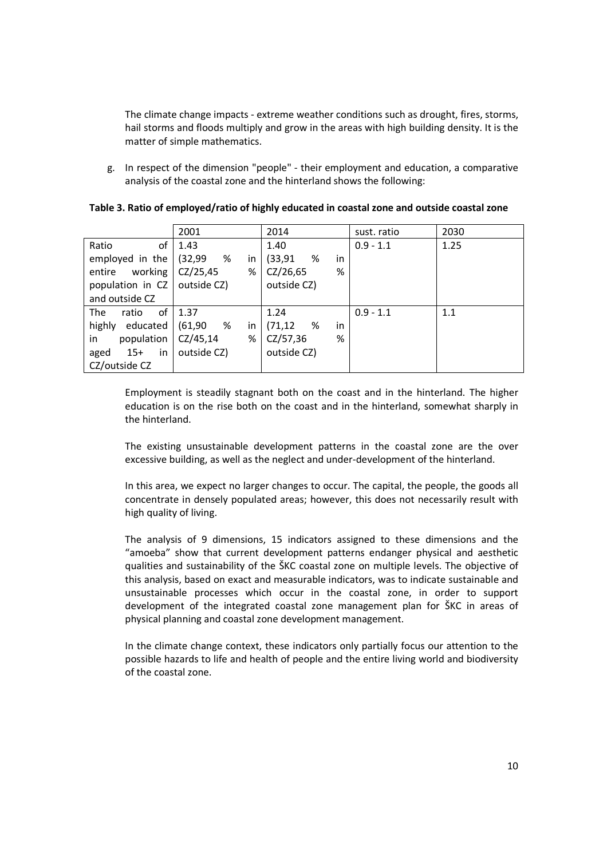The climate change impacts - extreme weather conditions such as drought, fires, storms, hail storms and floods multiply and grow in the areas with high building density. It is the matter of simple mathematics.

g. In respect of the dimension "people" - their employment and education, a comparative analysis of the coastal zone and the hinterland shows the following:

|                     | 2001                | 2014                | sust. ratio | 2030 |
|---------------------|---------------------|---------------------|-------------|------|
| Ratio<br>of         | 1.43                | 1.40                | $0.9 - 1.1$ | 1.25 |
| employed in the     | (32, 99)<br>%<br>in | (33, 91)<br>%<br>in |             |      |
| working<br>entire   | CZ/25,45<br>%       | CZ/26,65<br>%       |             |      |
| population in CZ    | outside CZ)         | outside CZ)         |             |      |
| and outside CZ      |                     |                     |             |      |
| 0f<br>The<br>ratio  | 1.37                | 1.24                | $0.9 - 1.1$ | 1.1  |
| highly<br>educated  | (61, 90)<br>%<br>in | %<br>(71, 12)<br>in |             |      |
| population<br>in    | CZ/45,14<br>%       | CZ/57,36<br>%       |             |      |
| in<br>$15+$<br>aged | outside CZ)         | outside CZ)         |             |      |
| CZ/outside CZ       |                     |                     |             |      |

|  |  |  | Table 3. Ratio of employed/ratio of highly educated in coastal zone and outside coastal zone |
|--|--|--|----------------------------------------------------------------------------------------------|
|--|--|--|----------------------------------------------------------------------------------------------|

Employment is steadily stagnant both on the coast and in the hinterland. The higher education is on the rise both on the coast and in the hinterland, somewhat sharply in the hinterland.

The existing unsustainable development patterns in the coastal zone are the over excessive building, as well as the neglect and under-development of the hinterland.

In this area, we expect no larger changes to occur. The capital, the people, the goods all concentrate in densely populated areas; however, this does not necessarily result with high quality of living.

The analysis of 9 dimensions, 15 indicators assigned to these dimensions and the "amoeba" show that current development patterns endanger physical and aesthetic qualities and sustainability of the ŠKC coastal zone on multiple levels. The objective of this analysis, based on exact and measurable indicators, was to indicate sustainable and unsustainable processes which occur in the coastal zone, in order to support development of the integrated coastal zone management plan for ŠKC in areas of physical planning and coastal zone development management.

In the climate change context, these indicators only partially focus our attention to the possible hazards to life and health of people and the entire living world and biodiversity of the coastal zone.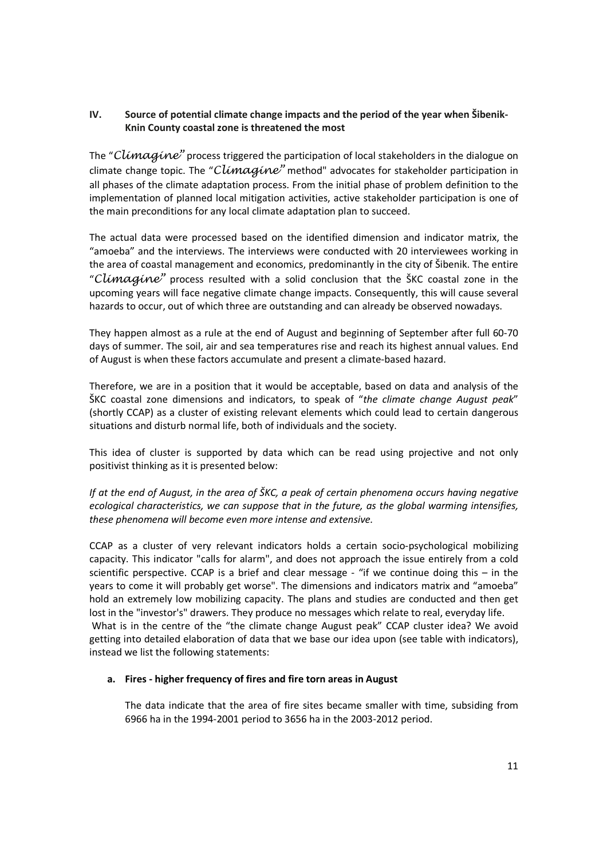# **IV. Source of potential climate change impacts and the period of the year when Šibenik-Knin County coastal zone is threatened the most**

The "Climagine" process triggered the participation of local stakeholders in the dialogue on climate change topic. The "Climagine" method" advocates for stakeholder participation in all phases of the climate adaptation process. From the initial phase of problem definition to the implementation of planned local mitigation activities, active stakeholder participation is one of the main preconditions for any local climate adaptation plan to succeed.

The actual data were processed based on the identified dimension and indicator matrix, the "amoeba" and the interviews. The interviews were conducted with 20 interviewees working in the area of coastal management and economics, predominantly in the city of Šibenik. The entire "Climagine" process resulted with a solid conclusion that the  $\text{SKC}$  coastal zone in the upcoming years will face negative climate change impacts. Consequently, this will cause several hazards to occur, out of which three are outstanding and can already be observed nowadays.

They happen almost as a rule at the end of August and beginning of September after full 60-70 days of summer. The soil, air and sea temperatures rise and reach its highest annual values. End of August is when these factors accumulate and present a climate-based hazard.

Therefore, we are in a position that it would be acceptable, based on data and analysis of the ŠKC coastal zone dimensions and indicators, to speak of "*the climate change August peak*" (shortly CCAP) as a cluster of existing relevant elements which could lead to certain dangerous situations and disturb normal life, both of individuals and the society.

This idea of cluster is supported by data which can be read using projective and not only positivist thinking as it is presented below:

*If at the end of August, in the area of ŠKC, a peak of certain phenomena occurs having negative ecological characteristics, we can suppose that in the future, as the global warming intensifies, these phenomena will become even more intense and extensive.* 

CCAP as a cluster of very relevant indicators holds a certain socio-psychological mobilizing capacity. This indicator "calls for alarm", and does not approach the issue entirely from a cold scientific perspective. CCAP is a brief and clear message - "if we continue doing this - in the years to come it will probably get worse". The dimensions and indicators matrix and "amoeba" hold an extremely low mobilizing capacity. The plans and studies are conducted and then get lost in the "investor's" drawers. They produce no messages which relate to real, everyday life. What is in the centre of the "the climate change August peak" CCAP cluster idea? We avoid getting into detailed elaboration of data that we base our idea upon (see table with indicators), instead we list the following statements:

# **a. Fires - higher frequency of fires and fire torn areas in August**

The data indicate that the area of fire sites became smaller with time, subsiding from 6966 ha in the 1994-2001 period to 3656 ha in the 2003-2012 period.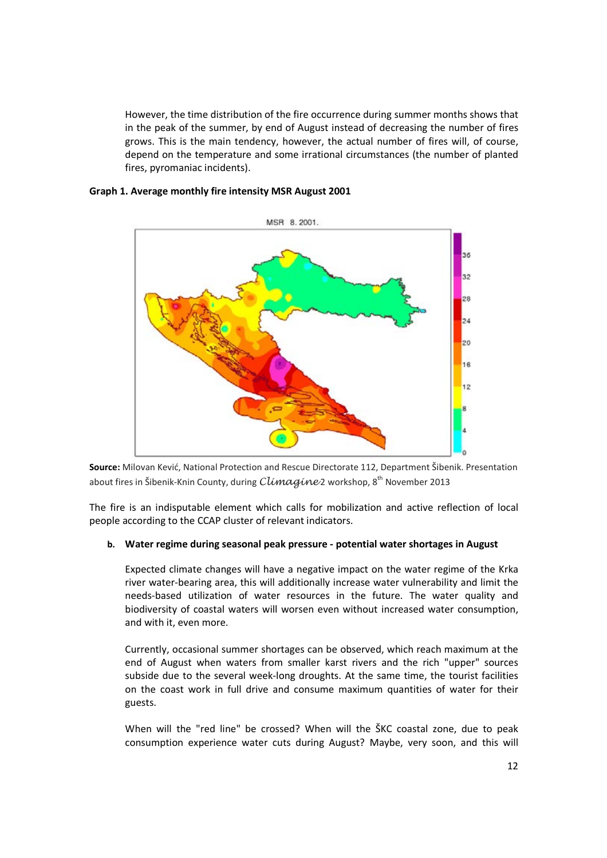However, the time distribution of the fire occurrence during summer months shows that in the peak of the summer, by end of August instead of decreasing the number of fires grows. This is the main tendency, however, the actual number of fires will, of course, depend on the temperature and some irrational circumstances (the number of planted fires, pyromaniac incidents).



#### **Graph 1. Average monthly fire intensity MSR August 2001**

**Source:** Milovan Kević, National Protection and Rescue Directorate 112, Department Šibenik. Presentation about fires in Šibenik-Knin County, during Clímagine 2 workshop, 8<sup>th</sup> November 2013

The fire is an indisputable element which calls for mobilization and active reflection of local people according to the CCAP cluster of relevant indicators.

#### **b. Water regime during seasonal peak pressure - potential water shortages in August**

Expected climate changes will have a negative impact on the water regime of the Krka river water-bearing area, this will additionally increase water vulnerability and limit the needs-based utilization of water resources in the future. The water quality and biodiversity of coastal waters will worsen even without increased water consumption, and with it, even more.

Currently, occasional summer shortages can be observed, which reach maximum at the end of August when waters from smaller karst rivers and the rich "upper" sources subside due to the several week-long droughts. At the same time, the tourist facilities on the coast work in full drive and consume maximum quantities of water for their guests.

When will the "red line" be crossed? When will the ŠKC coastal zone, due to peak consumption experience water cuts during August? Maybe, very soon, and this will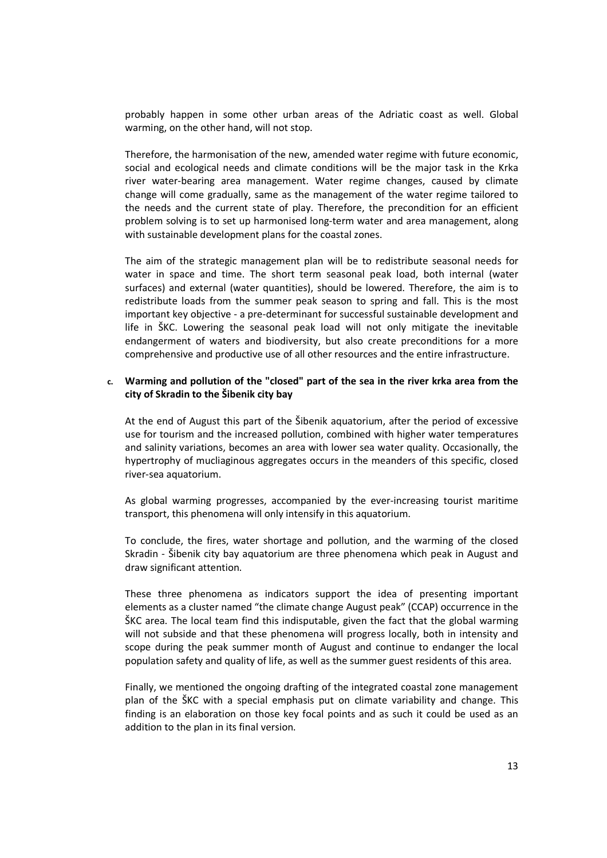probably happen in some other urban areas of the Adriatic coast as well. Global warming, on the other hand, will not stop.

Therefore, the harmonisation of the new, amended water regime with future economic, social and ecological needs and climate conditions will be the major task in the Krka river water-bearing area management. Water regime changes, caused by climate change will come gradually, same as the management of the water regime tailored to the needs and the current state of play. Therefore, the precondition for an efficient problem solving is to set up harmonised long-term water and area management, along with sustainable development plans for the coastal zones.

The aim of the strategic management plan will be to redistribute seasonal needs for water in space and time. The short term seasonal peak load, both internal (water surfaces) and external (water quantities), should be lowered. Therefore, the aim is to redistribute loads from the summer peak season to spring and fall. This is the most important key objective - a pre-determinant for successful sustainable development and life in ŠKC. Lowering the seasonal peak load will not only mitigate the inevitable endangerment of waters and biodiversity, but also create preconditions for a more comprehensive and productive use of all other resources and the entire infrastructure.

## **c. Warming and pollution of the "closed" part of the sea in the river krka area from the city of Skradin to the Šibenik city bay**

At the end of August this part of the Šibenik aquatorium, after the period of excessive use for tourism and the increased pollution, combined with higher water temperatures and salinity variations, becomes an area with lower sea water quality. Occasionally, the hypertrophy of mucliaginous aggregates occurs in the meanders of this specific, closed river-sea aquatorium.

As global warming progresses, accompanied by the ever-increasing tourist maritime transport, this phenomena will only intensify in this aquatorium.

To conclude, the fires, water shortage and pollution, and the warming of the closed Skradin - Šibenik city bay aquatorium are three phenomena which peak in August and draw significant attention.

These three phenomena as indicators support the idea of presenting important elements as a cluster named "the climate change August peak" (CCAP) occurrence in the ŠKC area. The local team find this indisputable, given the fact that the global warming will not subside and that these phenomena will progress locally, both in intensity and scope during the peak summer month of August and continue to endanger the local population safety and quality of life, as well as the summer guest residents of this area.

Finally, we mentioned the ongoing drafting of the integrated coastal zone management plan of the ŠKC with a special emphasis put on climate variability and change. This finding is an elaboration on those key focal points and as such it could be used as an addition to the plan in its final version.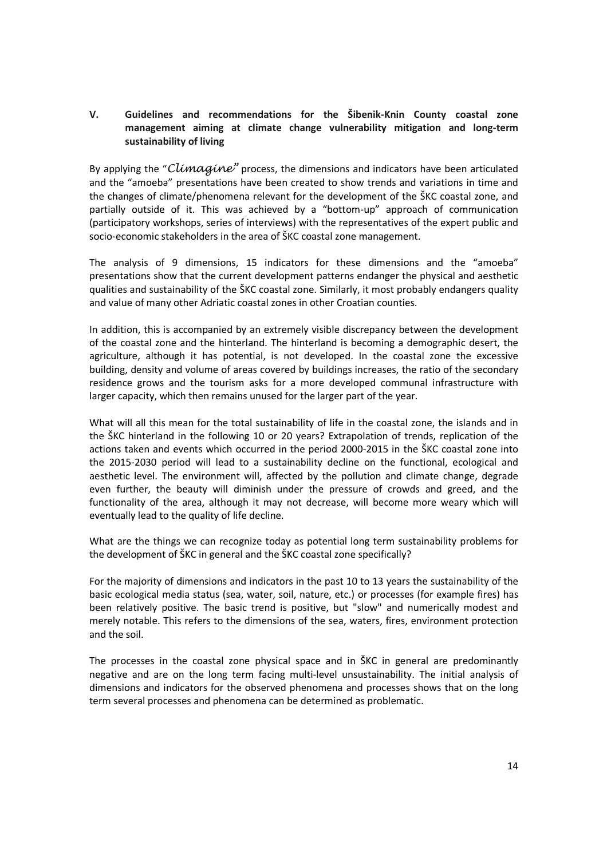# **V. Guidelines and recommendations for the Šibenik-Knin County coastal zone management aiming at climate change vulnerability mitigation and long-term sustainability of living**

By applying the "Climagine" process, the dimensions and indicators have been articulated and the "amoeba" presentations have been created to show trends and variations in time and the changes of climate/phenomena relevant for the development of the ŠKC coastal zone, and partially outside of it. This was achieved by a "bottom-up" approach of communication (participatory workshops, series of interviews) with the representatives of the expert public and socio-economic stakeholders in the area of ŠKC coastal zone management.

The analysis of 9 dimensions, 15 indicators for these dimensions and the "amoeba" presentations show that the current development patterns endanger the physical and aesthetic qualities and sustainability of the ŠKC coastal zone. Similarly, it most probably endangers quality and value of many other Adriatic coastal zones in other Croatian counties.

In addition, this is accompanied by an extremely visible discrepancy between the development of the coastal zone and the hinterland. The hinterland is becoming a demographic desert, the agriculture, although it has potential, is not developed. In the coastal zone the excessive building, density and volume of areas covered by buildings increases, the ratio of the secondary residence grows and the tourism asks for a more developed communal infrastructure with larger capacity, which then remains unused for the larger part of the year.

What will all this mean for the total sustainability of life in the coastal zone, the islands and in the ŠKC hinterland in the following 10 or 20 years? Extrapolation of trends, replication of the actions taken and events which occurred in the period 2000-2015 in the ŠKC coastal zone into the 2015-2030 period will lead to a sustainability decline on the functional, ecological and aesthetic level. The environment will, affected by the pollution and climate change, degrade even further, the beauty will diminish under the pressure of crowds and greed, and the functionality of the area, although it may not decrease, will become more weary which will eventually lead to the quality of life decline.

What are the things we can recognize today as potential long term sustainability problems for the development of ŠKC in general and the ŠKC coastal zone specifically?

For the majority of dimensions and indicators in the past 10 to 13 years the sustainability of the basic ecological media status (sea, water, soil, nature, etc.) or processes (for example fires) has been relatively positive. The basic trend is positive, but "slow" and numerically modest and merely notable. This refers to the dimensions of the sea, waters, fires, environment protection and the soil.

The processes in the coastal zone physical space and in ŠKC in general are predominantly negative and are on the long term facing multi-level unsustainability. The initial analysis of dimensions and indicators for the observed phenomena and processes shows that on the long term several processes and phenomena can be determined as problematic.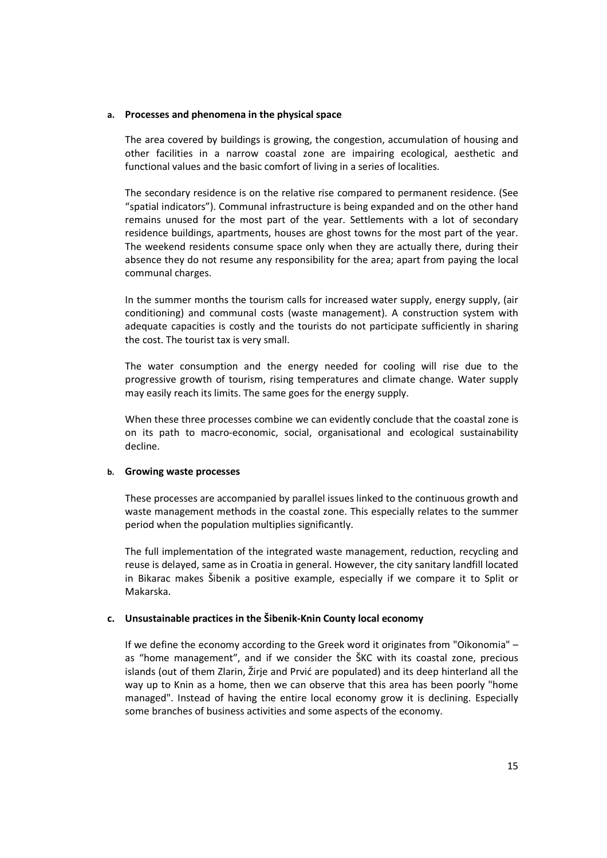#### **a. Processes and phenomena in the physical space**

The area covered by buildings is growing, the congestion, accumulation of housing and other facilities in a narrow coastal zone are impairing ecological, aesthetic and functional values and the basic comfort of living in a series of localities.

The secondary residence is on the relative rise compared to permanent residence. (See "spatial indicators"). Communal infrastructure is being expanded and on the other hand remains unused for the most part of the year. Settlements with a lot of secondary residence buildings, apartments, houses are ghost towns for the most part of the year. The weekend residents consume space only when they are actually there, during their absence they do not resume any responsibility for the area; apart from paying the local communal charges.

In the summer months the tourism calls for increased water supply, energy supply, (air conditioning) and communal costs (waste management). A construction system with adequate capacities is costly and the tourists do not participate sufficiently in sharing the cost. The tourist tax is very small.

The water consumption and the energy needed for cooling will rise due to the progressive growth of tourism, rising temperatures and climate change. Water supply may easily reach its limits. The same goes for the energy supply.

When these three processes combine we can evidently conclude that the coastal zone is on its path to macro-economic, social, organisational and ecological sustainability decline.

#### **b. Growing waste processes**

These processes are accompanied by parallel issues linked to the continuous growth and waste management methods in the coastal zone. This especially relates to the summer period when the population multiplies significantly.

The full implementation of the integrated waste management, reduction, recycling and reuse is delayed, same as in Croatia in general. However, the city sanitary landfill located in Bikarac makes Šibenik a positive example, especially if we compare it to Split or Makarska.

## **c. Unsustainable practices in the Šibenik-Knin County local economy**

If we define the economy according to the Greek word it originates from "Oikonomia" – as "home management", and if we consider the ŠKC with its coastal zone, precious islands (out of them Zlarin, Žirje and Prvić are populated) and its deep hinterland all the way up to Knin as a home, then we can observe that this area has been poorly "home managed". Instead of having the entire local economy grow it is declining. Especially some branches of business activities and some aspects of the economy.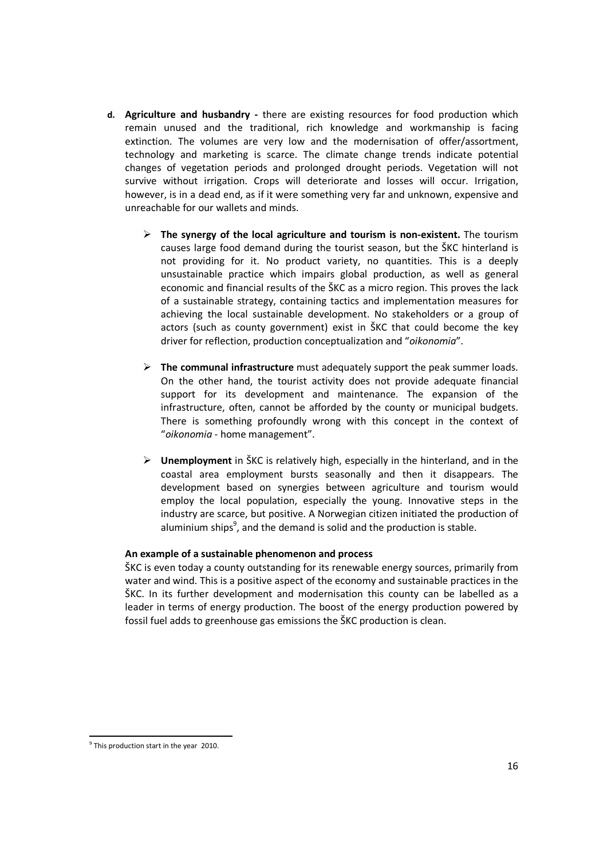- **d. Agriculture and husbandry** there are existing resources for food production which remain unused and the traditional, rich knowledge and workmanship is facing extinction. The volumes are very low and the modernisation of offer/assortment, technology and marketing is scarce. The climate change trends indicate potential changes of vegetation periods and prolonged drought periods. Vegetation will not survive without irrigation. Crops will deteriorate and losses will occur. Irrigation, however, is in a dead end, as if it were something very far and unknown, expensive and unreachable for our wallets and minds.
	- **The synergy of the local agriculture and tourism is non-existent.** The tourism causes large food demand during the tourist season, but the ŠKC hinterland is not providing for it. No product variety, no quantities. This is a deeply unsustainable practice which impairs global production, as well as general economic and financial results of the ŠKC as a micro region. This proves the lack of a sustainable strategy, containing tactics and implementation measures for achieving the local sustainable development. No stakeholders or a group of actors (such as county government) exist in ŠKC that could become the key driver for reflection, production conceptualization and "*oikonomia*".
	- **The communal infrastructure** must adequately support the peak summer loads. On the other hand, the tourist activity does not provide adequate financial support for its development and maintenance. The expansion of the infrastructure, often, cannot be afforded by the county or municipal budgets. There is something profoundly wrong with this concept in the context of "*oikonomia* - home management".
	- **Unemployment** in ŠKC is relatively high, especially in the hinterland, and in the coastal area employment bursts seasonally and then it disappears. The development based on synergies between agriculture and tourism would employ the local population, especially the young. Innovative steps in the industry are scarce, but positive. A Norwegian citizen initiated the production of aluminium ships<sup>9</sup>, and the demand is solid and the production is stable.

# **An example of a sustainable phenomenon and process**

ŠKC is even today a county outstanding for its renewable energy sources, primarily from water and wind. This is a positive aspect of the economy and sustainable practices in the ŠKC. In its further development and modernisation this county can be labelled as a leader in terms of energy production. The boost of the energy production powered by fossil fuel adds to greenhouse gas emissions the ŠKC production is clean.

 $9$  This production start in the year 2010.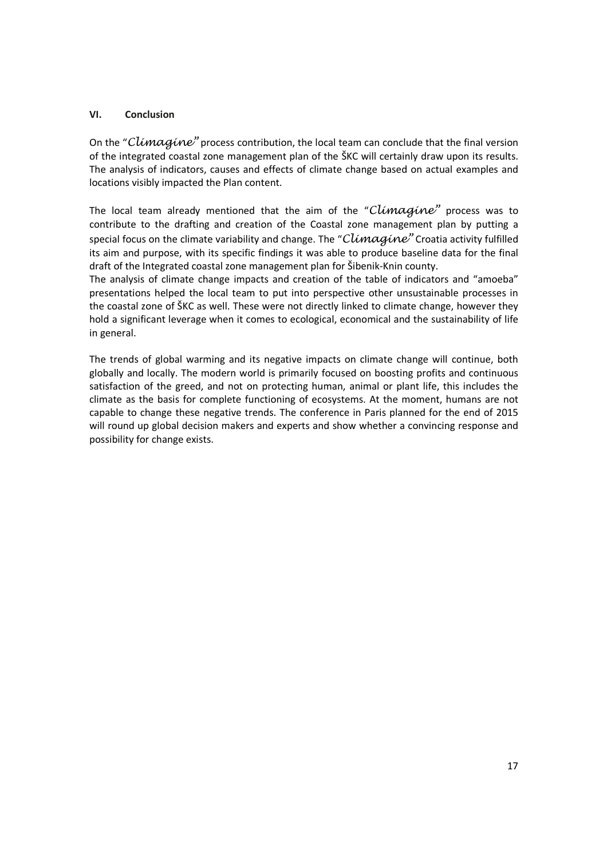## **VI. Conclusion**

On the "Climagine" process contribution, the local team can conclude that the final version of the integrated coastal zone management plan of the ŠKC will certainly draw upon its results. The analysis of indicators, causes and effects of climate change based on actual examples and locations visibly impacted the Plan content.

The local team already mentioned that the aim of the "Climagine" process was to contribute to the drafting and creation of the Coastal zone management plan by putting a special focus on the climate variability and change. The "Climagine" Croatia activity fulfilled its aim and purpose, with its specific findings it was able to produce baseline data for the final draft of the Integrated coastal zone management plan for Šibenik-Knin county.

The analysis of climate change impacts and creation of the table of indicators and "amoeba" presentations helped the local team to put into perspective other unsustainable processes in the coastal zone of ŠKC as well. These were not directly linked to climate change, however they hold a significant leverage when it comes to ecological, economical and the sustainability of life in general.

The trends of global warming and its negative impacts on climate change will continue, both globally and locally. The modern world is primarily focused on boosting profits and continuous satisfaction of the greed, and not on protecting human, animal or plant life, this includes the climate as the basis for complete functioning of ecosystems. At the moment, humans are not capable to change these negative trends. The conference in Paris planned for the end of 2015 will round up global decision makers and experts and show whether a convincing response and possibility for change exists.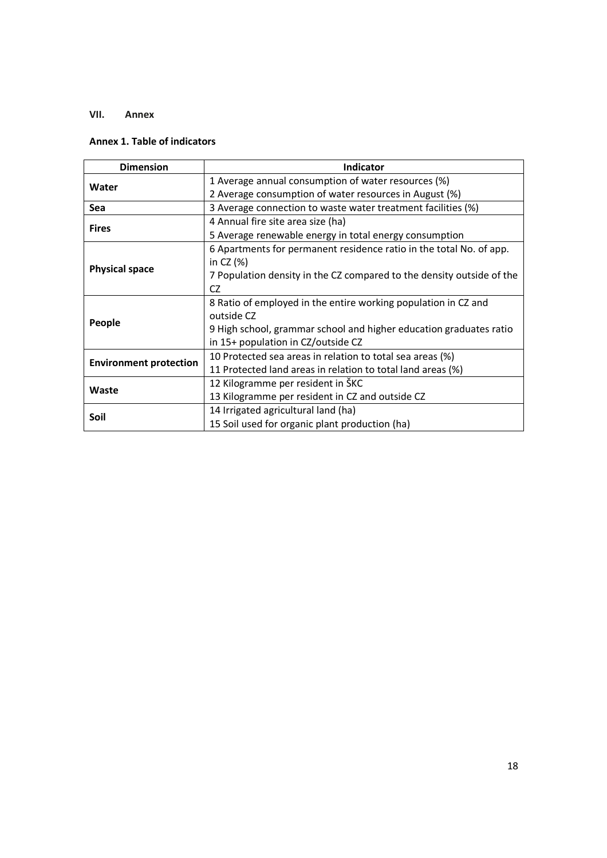#### **VII. Annex**

# **Annex 1. Table of indicators**

| <b>Dimension</b>              | <b>Indicator</b>                                                      |
|-------------------------------|-----------------------------------------------------------------------|
| Water                         | 1 Average annual consumption of water resources (%)                   |
|                               | 2 Average consumption of water resources in August (%)                |
| Sea                           | 3 Average connection to waste water treatment facilities (%)          |
| <b>Fires</b>                  | 4 Annual fire site area size (ha)                                     |
|                               | 5 Average renewable energy in total energy consumption                |
|                               | 6 Apartments for permanent residence ratio in the total No. of app.   |
|                               | in CZ (%)                                                             |
| <b>Physical space</b>         | 7 Population density in the CZ compared to the density outside of the |
|                               | CZ.                                                                   |
|                               | 8 Ratio of employed in the entire working population in CZ and        |
| People                        | outside CZ                                                            |
|                               | 9 High school, grammar school and higher education graduates ratio    |
|                               | in 15+ population in CZ/outside CZ                                    |
| <b>Environment protection</b> | 10 Protected sea areas in relation to total sea areas (%)             |
|                               | 11 Protected land areas in relation to total land areas (%)           |
| Waste                         | 12 Kilogramme per resident in ŠKC                                     |
|                               | 13 Kilogramme per resident in CZ and outside CZ                       |
| Soil                          | 14 Irrigated agricultural land (ha)                                   |
|                               | 15 Soil used for organic plant production (ha)                        |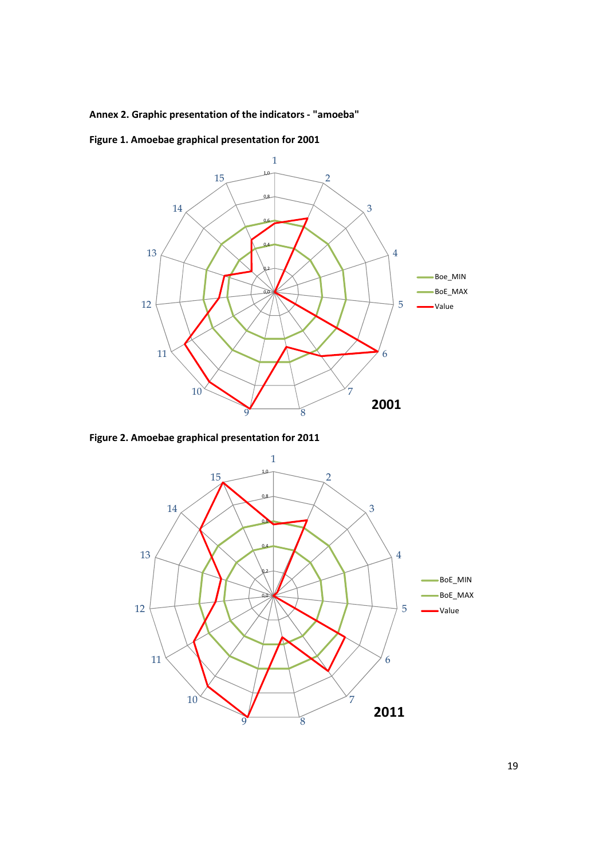# **Annex 2. Graphic presentation of the indicators - "amoeba"**

0,0 0,2 0,4 0,6 0,8 1,0 1 2 3 4 5 6 7  $\frac{9}{9}$  8 10 11 12 13 14 15 **2001** Boe\_MIN BoE\_MAX Value

**Figure 1. Amoebae graphical presentation for 2001**

**Figure 2. Amoebae graphical presentation for 2011**